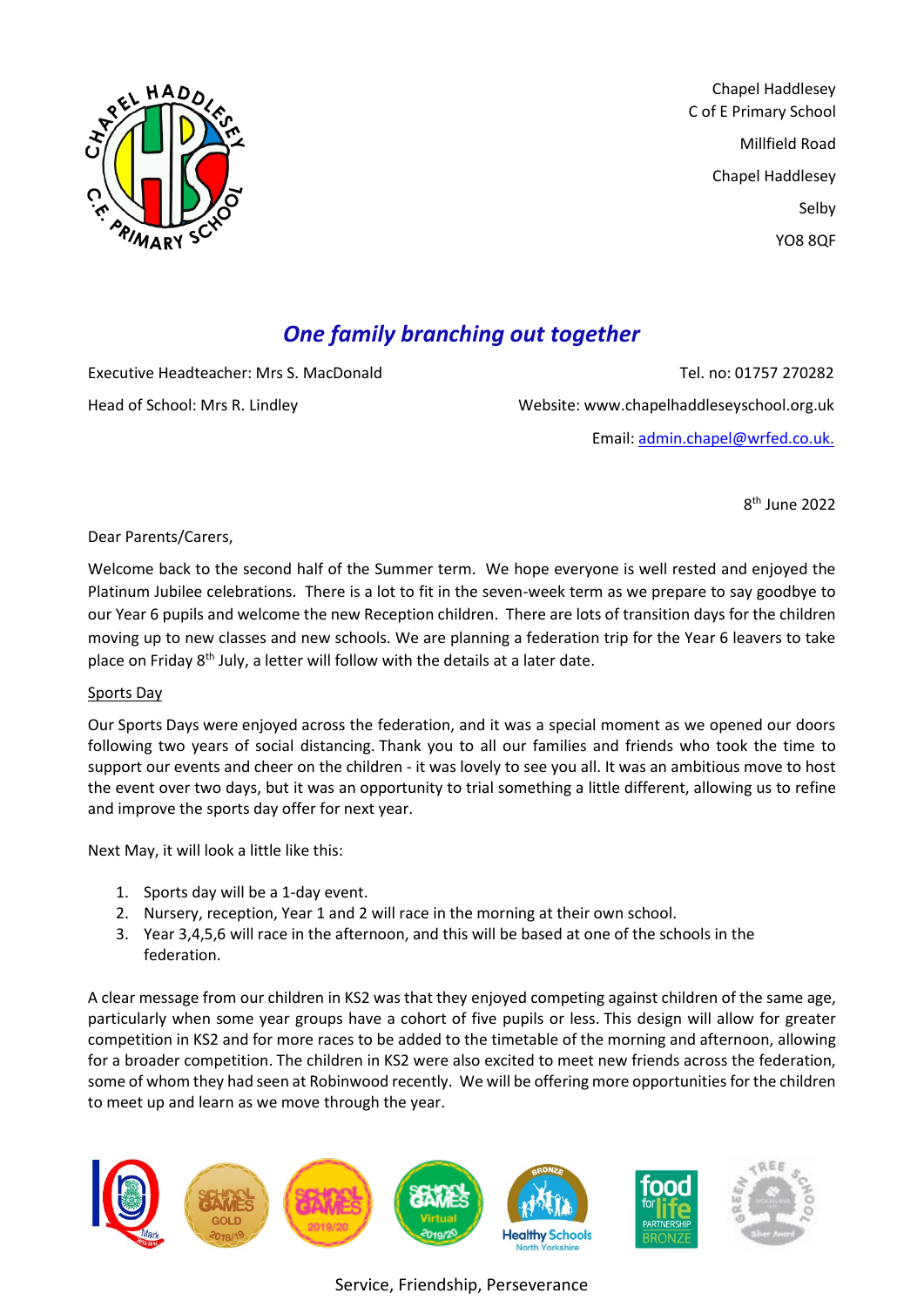

Chapel Haddlesey C of E Primary School Millfield Road Chapel Haddlesey Selby YO8 8QF

# *One family branching out together*

Executive Headteacher: Mrs S. MacDonald Tel. no: 01757 270282 Head of School: Mrs R. Lindley Website: www.chapelhaddleseyschool.org.uk Email: [admin.chapel@wrfed.co.uk.](mailto:admin.chapel@wrfed.co.uk)

8 th June 2022

Dear Parents/Carers,

Welcome back to the second half of the Summer term. We hope everyone is well rested and enjoyed the Platinum Jubilee celebrations. There is a lot to fit in the seven-week term as we prepare to say goodbye to our Year 6 pupils and welcome the new Reception children. There are lots of transition days for the children moving up to new classes and new schools. We are planning a federation trip for the Year 6 leavers to take place on Friday  $8<sup>th</sup>$  July, a letter will follow with the details at a later date.

# Sports Day

Our Sports Days were enjoyed across the federation, and it was a special moment as we opened our doors following two years of social distancing. Thank you to all our families and friends who took the time to support our events and cheer on the children - it was lovely to see you all. It was an ambitious move to host the event over two days, but it was an opportunity to trial something a little different, allowing us to refine and improve the sports day offer for next year.

Next May, it will look a little like this:

- 1. Sports day will be a 1-day event.
- 2. Nursery, reception, Year 1 and 2 will race in the morning at their own school.
- 3. Year 3,4,5,6 will race in the afternoon, and this will be based at one of the schools in the federation.

A clear message from our children in KS2 was that they enjoyed competing against children of the same age, particularly when some year groups have a cohort of five pupils or less. This design will allow for greater competition in KS2 and for more races to be added to the timetable of the morning and afternoon, allowing for a broader competition. The children in KS2 were also excited to meet new friends across the federation, some of whom they had seen at Robinwood recently. We will be offering more opportunities for the children to meet up and learn as we move through the year.

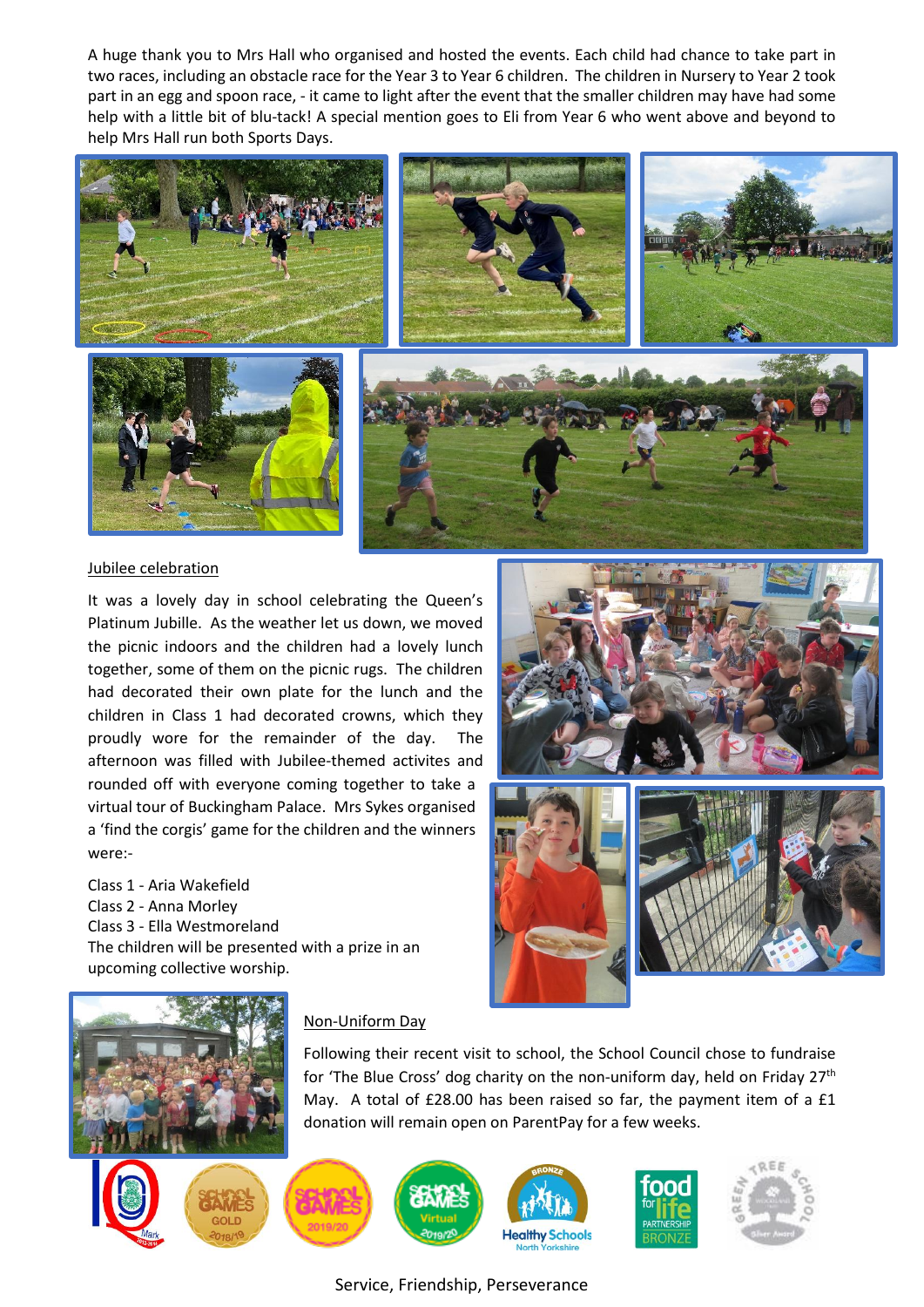A huge thank you to Mrs Hall who organised and hosted the events. Each child had chance to take part in two races, including an obstacle race for the Year 3 to Year 6 children. The children in Nursery to Year 2 took part in an egg and spoon race, - it came to light after the event that the smaller children may have had some help with a little bit of blu-tack! A special mention goes to Eli from Year 6 who went above and beyond to help Mrs Hall run both Sports Days.



#### Jubilee celebration

It was a lovely day in school celebrating the Queen's Platinum Jubille. As the weather let us down, we moved the picnic indoors and the children had a lovely lunch together, some of them on the picnic rugs. The children had decorated their own plate for the lunch and the children in Class 1 had decorated crowns, which they proudly wore for the remainder of the day. The afternoon was filled with Jubilee-themed activites and rounded off with everyone coming together to take a virtual tour of Buckingham Palace. Mrs Sykes organised a 'find the corgis' game for the children and the winners were:-

Class 1 - Aria Wakefield Class 2 - Anna Morley Class 3 - Ella Westmoreland The children will be presented with a prize in an upcoming collective worship.





#### Non-Uniform Day

Following their recent visit to school, the School Council chose to fundraise for 'The Blue Cross' dog charity on the non-uniform day, held on Friday  $27<sup>th</sup>$ May. A total of £28.00 has been raised so far, the payment item of a £1 donation will remain open on ParentPay for a few weeks.





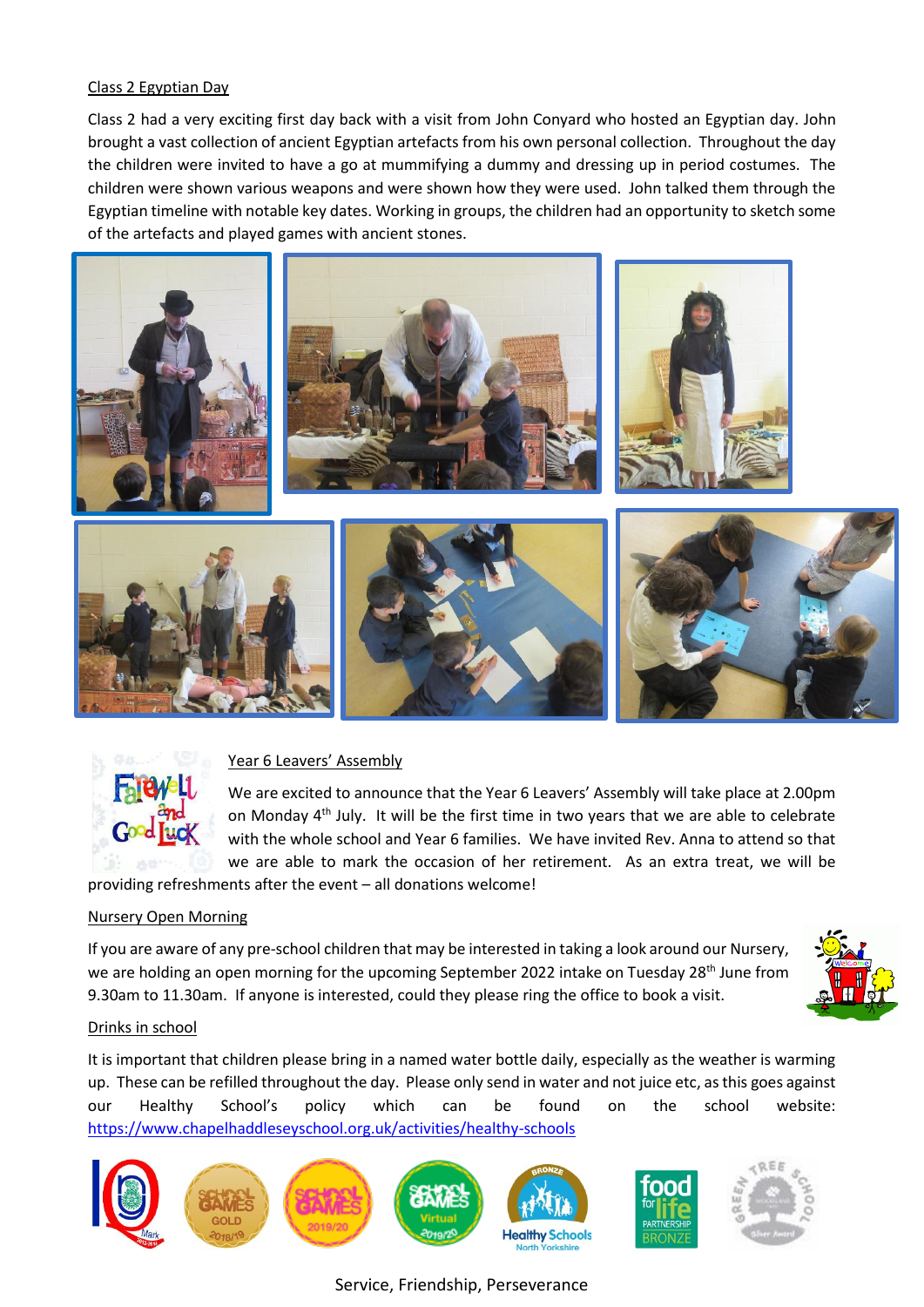# Class 2 Egyptian Day

Class 2 had a very exciting first day back with a visit from John Conyard who hosted an Egyptian day. John brought a vast collection of ancient Egyptian artefacts from his own personal collection. Throughout the day the children were invited to have a go at mummifying a dummy and dressing up in period costumes. The children were shown various weapons and were shown how they were used. John talked them through the Egyptian timeline with notable key dates. Working in groups, the children had an opportunity to sketch some of the artefacts and played games with ancient stones.





# Year 6 Leavers' Assembly

We are excited to announce that the Year 6 Leavers' Assembly will take place at 2.00pm on Monday 4<sup>th</sup> July. It will be the first time in two years that we are able to celebrate with the whole school and Year 6 families. We have invited Rev. Anna to attend so that we are able to mark the occasion of her retirement. As an extra treat, we will be providing refreshments after the event – all donations welcome!

# Nursery Open Morning

If you are aware of any pre-school children that may be interested in taking a look around our Nursery, we are holding an open morning for the upcoming September 2022 intake on Tuesday 28<sup>th</sup> June from 9.30am to 11.30am. If anyone is interested, could they please ring the office to book a visit.



#### Drinks in school

It is important that children please bring in a named water bottle daily, especially as the weather is warming up. These can be refilled throughout the day. Please only send in water and not juice etc, as this goes against our Healthy School's policy which can be found on the school website: <https://www.chapelhaddleseyschool.org.uk/activities/healthy-schools>



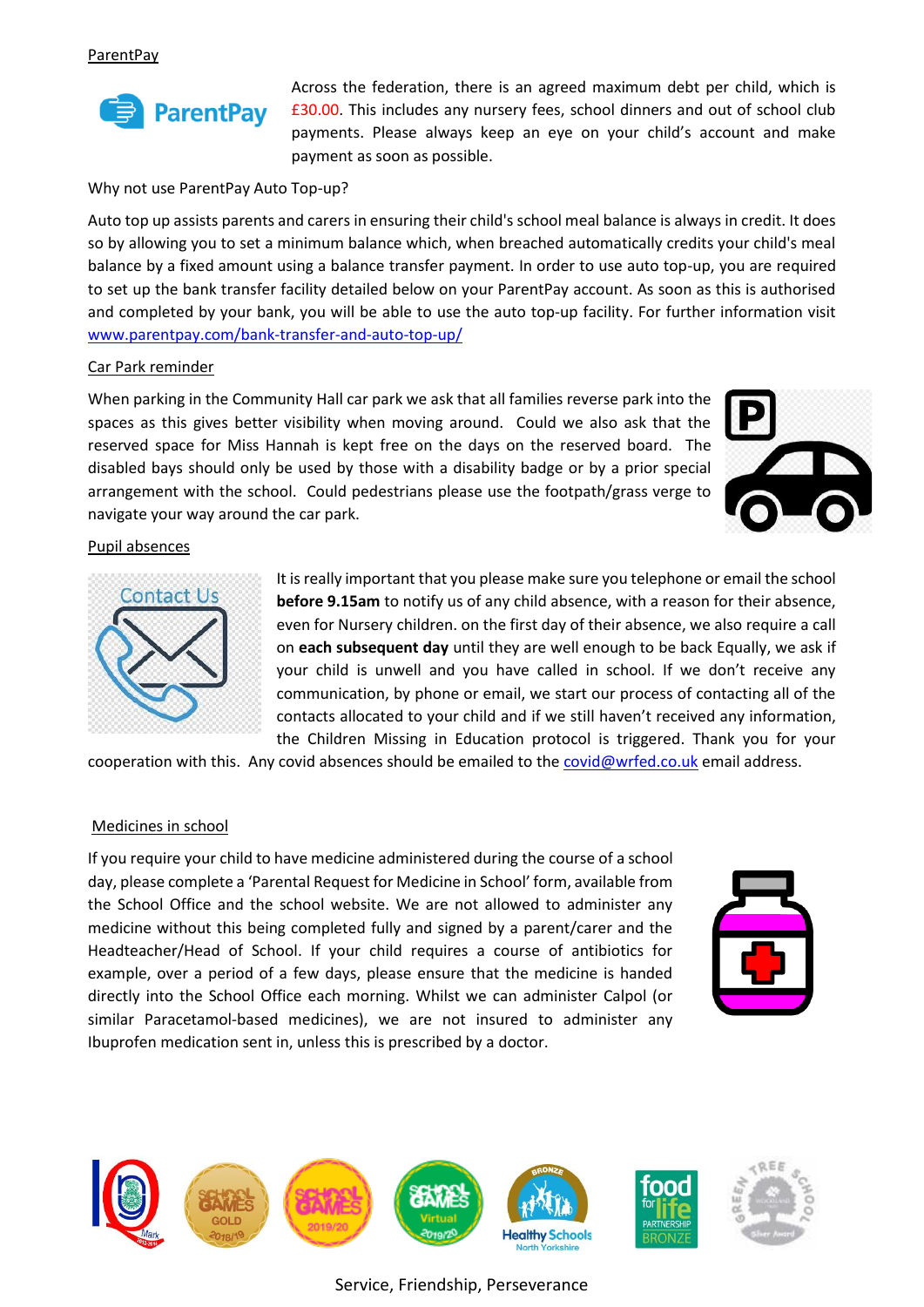

Across the federation, there is an agreed maximum debt per child, which is £30.00. This includes any nursery fees, school dinners and out of school club payments. Please always keep an eye on your child's account and make payment as soon as possible.

Why not use ParentPay Auto Top-up?

Auto top up assists parents and carers in ensuring their child's school meal balance is always in credit. It does so by allowing you to set a minimum balance which, when breached automatically credits your child's meal balance by a fixed amount using a balance transfer payment. In order to use auto top-up, you are required to set up the bank transfer facility detailed below on your ParentPay account. As soon as this is authorised and completed by your bank, you will be able to use the auto top-up facility. For further information visit [www.parentpay.com/bank-transfer-and-auto-top-up/](http://www.parentpay.com/bank-transfer-and-auto-top-up/)

#### Car Park reminder

When parking in the Community Hall car park we ask that all families reverse park into the spaces as this gives better visibility when moving around. Could we also ask that the reserved space for Miss Hannah is kept free on the days on the reserved board. The disabled bays should only be used by those with a disability badge or by a prior special arrangement with the school. Could pedestrians please use the footpath/grass verge to navigate your way around the car park.



#### Pupil absences



It is really important that you please make sure you telephone or email the school **before 9.15am** to notify us of any child absence, with a reason for their absence, even for Nursery children. on the first day of their absence, we also require a call on **each subsequent day** until they are well enough to be back Equally, we ask if your child is unwell and you have called in school. If we don't receive any communication, by phone or email, we start our process of contacting all of the contacts allocated to your child and if we still haven't received any information, the Children Missing in Education protocol is triggered. Thank you for your

cooperation with this. Any covid absences should be emailed to the [covid@wrfed.co.uk](mailto:covid@wrfed.co.uk) email address.

#### Medicines in school

If you require your child to have medicine administered during the course of a school day, please complete a 'Parental Request for Medicine in School' form, available from the School Office and the school website. We are not allowed to administer any medicine without this being completed fully and signed by a parent/carer and the Headteacher/Head of School. If your child requires a course of antibiotics for example, over a period of a few days, please ensure that the medicine is handed directly into the School Office each morning. Whilst we can administer Calpol (or similar Paracetamol-based medicines), we are not insured to administer any Ibuprofen medication sent in, unless this is prescribed by a doctor.



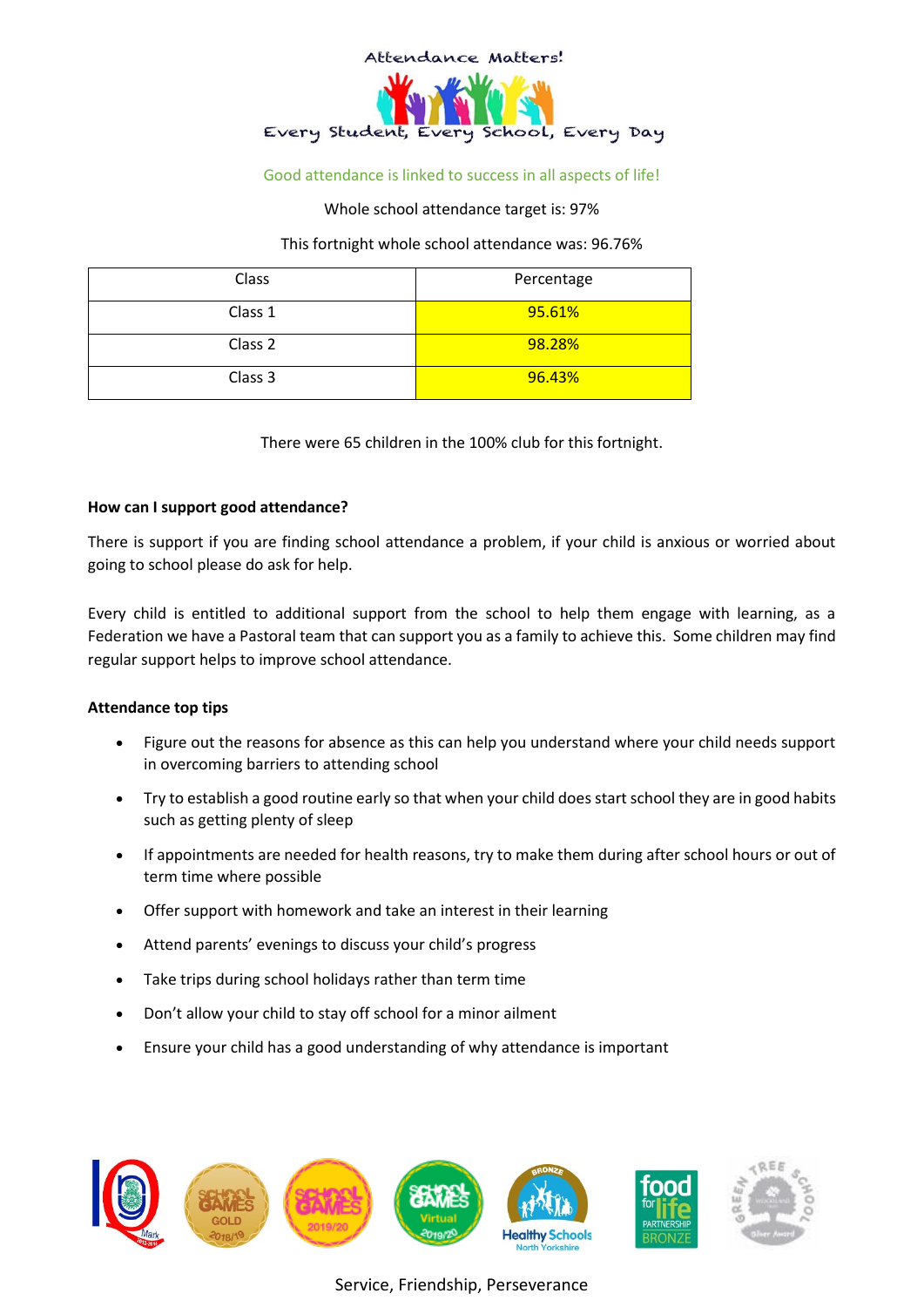

# Good attendance is linked to success in all aspects of life!

Whole school attendance target is: 97%

This fortnight whole school attendance was: 96.76%

| Class   | Percentage |
|---------|------------|
| Class 1 | 95.61%     |
| Class 2 | 98.28%     |
| Class 3 | 96.43%     |

There were 65 children in the 100% club for this fortnight.

#### **How can I support good attendance?**

There is support if you are finding school attendance a problem, if your child is anxious or worried about going to school please do ask for help.

Every child is entitled to additional support from the school to help them engage with learning, as a Federation we have a Pastoral team that can support you as a family to achieve this. Some children may find regular support helps to improve school attendance.

#### **Attendance top tips**

- Figure out the reasons for absence as this can help you understand where your child needs support in overcoming barriers to attending school
- Try to establish a good routine early so that when your child does start school they are in good habits such as getting plenty of sleep
- If appointments are needed for health reasons, try to make them during after school hours or out of term time where possible
- Offer support with homework and take an interest in their learning
- Attend parents' evenings to discuss your child's progress
- Take trips during school holidays rather than term time
- Don't allow your child to stay off school for a minor ailment
- Ensure your child has a good understanding of why attendance is important